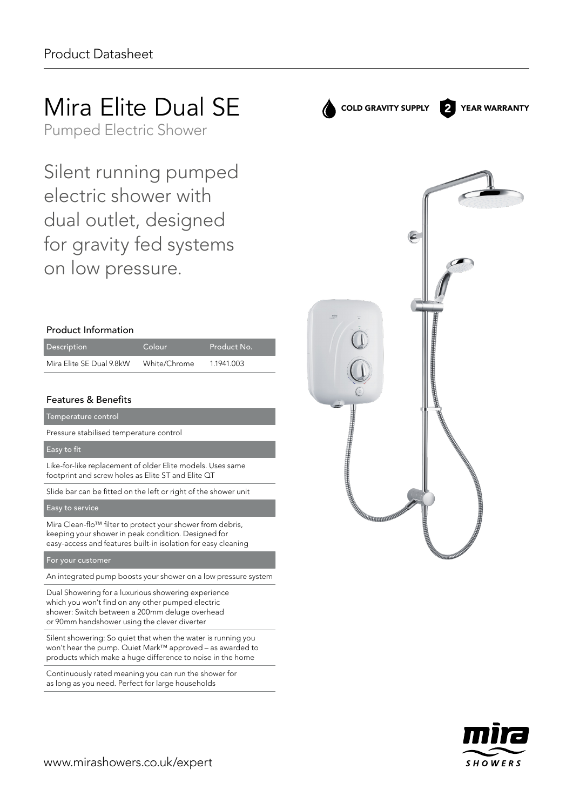# Mira Elite Dual SE

Pumped Electric Shower

Silent running pumped electric shower with dual outlet, designed for gravity fed systems on low pressure.

### Product Information

| <b>Description</b>       | Colour       | Product No. |
|--------------------------|--------------|-------------|
| Mira Elite SE Dual 9.8kW | White/Chrome | 1.1941.003  |

### Features & Benefits

Temperature control

Pressure stabilised temperature control

#### Easy to fit

Like-for-like replacement of older Elite models. Uses same footprint and screw holes as Elite ST and Elite QT

Slide bar can be fitted on the left or right of the shower unit

#### Easy to service

Mira Clean-flo™ filter to protect your shower from debris, keeping your shower in peak condition. Designed for easy‑access and features built-in isolation for easy cleaning

#### For your customer

An integrated pump boosts your shower on a low pressure system

Dual Showering for a luxurious showering experience which you won't find on any other pumped electric shower: Switch between a 200mm deluge overhead or 90mm handshower using the clever diverter

Silent showering: So quiet that when the water is running you won't hear the pump. Quiet Mark™ approved – as awarded to products which make a huge difference to noise in the home

Continuously rated meaning you can run the shower for as long as you need. Perfect for large households



COLD GRAVITY SUPPLY 2 YEAR WARRANTY